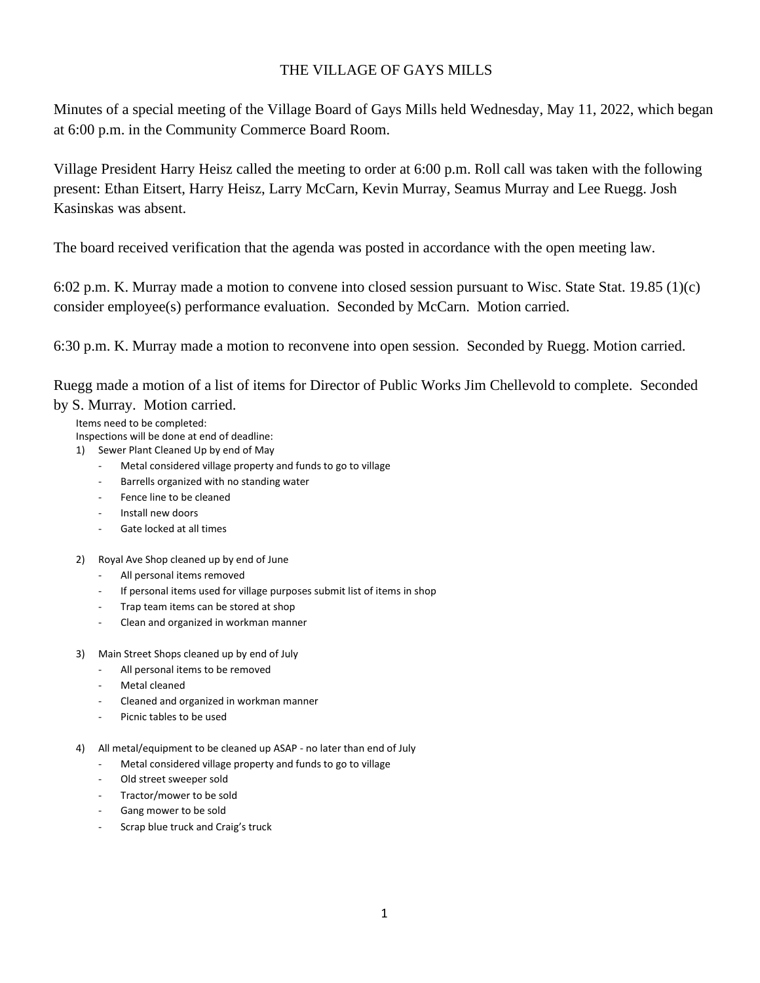## THE VILLAGE OF GAYS MILLS

Minutes of a special meeting of the Village Board of Gays Mills held Wednesday, May 11, 2022, which began at 6:00 p.m. in the Community Commerce Board Room.

Village President Harry Heisz called the meeting to order at 6:00 p.m. Roll call was taken with the following present: Ethan Eitsert, Harry Heisz, Larry McCarn, Kevin Murray, Seamus Murray and Lee Ruegg. Josh Kasinskas was absent.

The board received verification that the agenda was posted in accordance with the open meeting law.

6:02 p.m. K. Murray made a motion to convene into closed session pursuant to Wisc. State Stat. 19.85 (1)(c) consider employee(s) performance evaluation. Seconded by McCarn. Motion carried.

6:30 p.m. K. Murray made a motion to reconvene into open session. Seconded by Ruegg. Motion carried.

Ruegg made a motion of a list of items for Director of Public Works Jim Chellevold to complete. Seconded by S. Murray. Motion carried.

Items need to be completed:

Inspections will be done at end of deadline:

1) Sewer Plant Cleaned Up by end of May

- Metal considered village property and funds to go to village
- Barrells organized with no standing water
- Fence line to be cleaned
- Install new doors
- Gate locked at all times
- 2) Royal Ave Shop cleaned up by end of June
	- All personal items removed
	- If personal items used for village purposes submit list of items in shop
	- Trap team items can be stored at shop
	- Clean and organized in workman manner
- 3) Main Street Shops cleaned up by end of July
	- All personal items to be removed
	- Metal cleaned
	- Cleaned and organized in workman manner
	- Picnic tables to be used
- 4) All metal/equipment to be cleaned up ASAP no later than end of July
	- Metal considered village property and funds to go to village
	- Old street sweeper sold
	- Tractor/mower to be sold
	- Gang mower to be sold
	- Scrap blue truck and Craig's truck